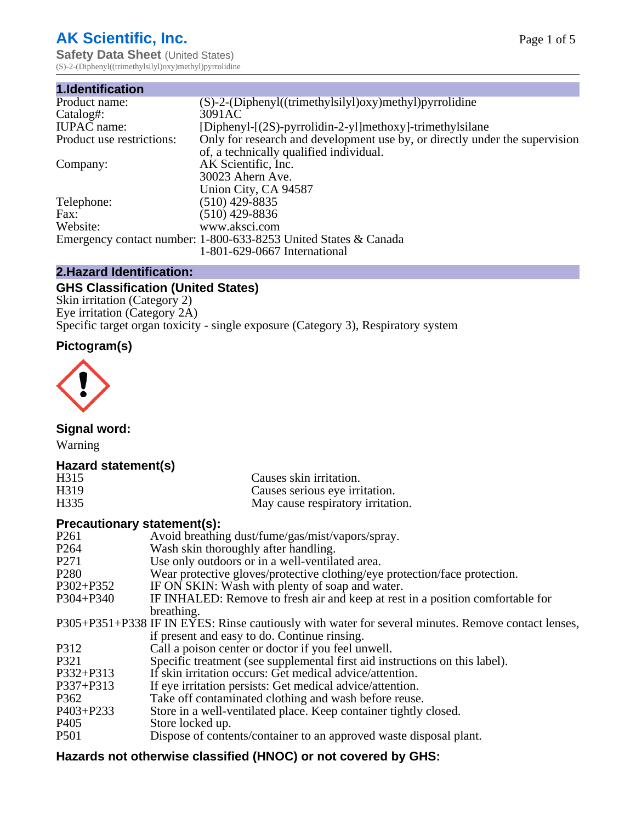# **AK Scientific, Inc.**

**Safety Data Sheet (United States)** (S)-2-(Diphenyl((trimethylsilyl)oxy)methyl)pyrrolidine

| 1.Identification          |                                                                             |
|---------------------------|-----------------------------------------------------------------------------|
| Product name:             | $(S)-2$ -(Diphenyl((trimethylsilyl)oxy)methyl)pyrrolidine                   |
| Catalog#:                 | 3091AC                                                                      |
| <b>IUPAC</b> name:        | [Diphenyl-[(2S)-pyrrolidin-2-yl]methoxy]-trimethylsilane                    |
| Product use restrictions: | Only for research and development use by, or directly under the supervision |
|                           | of, a technically qualified individual.                                     |
| Company:                  | AK Scientific, Inc.                                                         |
|                           | 30023 Ahern Ave.                                                            |
|                           | Union City, CA 94587                                                        |
| Telephone:                | $(510)$ 429-8835                                                            |
| Fax:                      | $(510)$ 429-8836                                                            |
| Website:                  | www.aksci.com                                                               |
|                           | Emergency contact number: 1-800-633-8253 United States & Canada             |
|                           | 1-801-629-0667 International                                                |

# **2.Hazard Identification:**

# **GHS Classification (United States)**

Skin irritation (Category 2) Eye irritation (Category 2A) Specific target organ toxicity - single exposure (Category 3), Respiratory system

# **Pictogram(s)**



**Signal word:**

Warning

# **Hazard statement(s)**

| H315 | Causes skin irritation.           |
|------|-----------------------------------|
| H319 | Causes serious eye irritation.    |
| H335 | May cause respiratory irritation. |

### **Precautionary statement(s):**

| P <sub>261</sub> | Avoid breathing dust/fume/gas/mist/vapors/spray.                                                   |
|------------------|----------------------------------------------------------------------------------------------------|
| P <sub>264</sub> | Wash skin thoroughly after handling.                                                               |
| P <sub>271</sub> | Use only outdoors or in a well-ventilated area.                                                    |
| P <sub>280</sub> | Wear protective gloves/protective clothing/eye protection/face protection.                         |
| P302+P352        | IF ON SKIN: Wash with plenty of soap and water.                                                    |
| $P304 + P340$    | IF INHALED: Remove to fresh air and keep at rest in a position comfortable for                     |
|                  | breathing.                                                                                         |
|                  | P305+P351+P338 IF IN EYES: Rinse cautiously with water for several minutes. Remove contact lenses, |
|                  | if present and easy to do. Continue rinsing.                                                       |
| P312             | Call a poison center or doctor if you feel unwell.                                                 |
| P321             | Specific treatment (see supplemental first aid instructions on this label).                        |
| P332+P313        | If skin irritation occurs: Get medical advice/attention.                                           |
| P337+P313        | If eye irritation persists: Get medical advice/attention.                                          |
| P362             | Take off contaminated clothing and wash before reuse.                                              |
| P403+P233        | Store in a well-ventilated place. Keep container tightly closed.                                   |
| P <sub>405</sub> | Store locked up.                                                                                   |
| P <sub>501</sub> | Dispose of contents/container to an approved waste disposal plant.                                 |
|                  |                                                                                                    |

# **Hazards not otherwise classified (HNOC) or not covered by GHS:**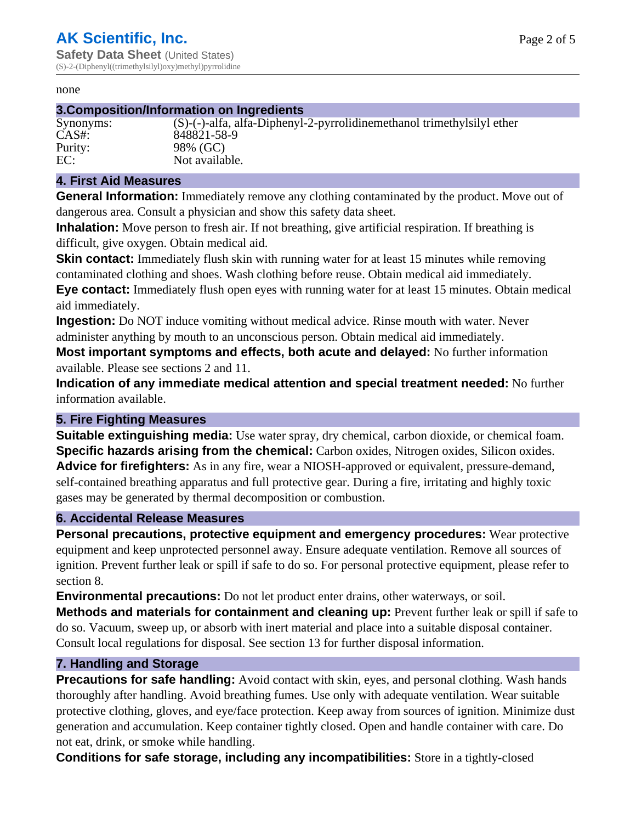#### none

#### **3.Composition/Information on Ingredients**

Synonyms: (S)-(-)-alfa, alfa-Diphenyl-2-pyrrolidinemethanol trimethylsilyl ether CAS#: 848821-58-9 Purity: 98% (GC)<br>EC: Not availal Not available.

# **4. First Aid Measures**

**General Information:** Immediately remove any clothing contaminated by the product. Move out of dangerous area. Consult a physician and show this safety data sheet.

**Inhalation:** Move person to fresh air. If not breathing, give artificial respiration. If breathing is difficult, give oxygen. Obtain medical aid.

**Skin contact:** Immediately flush skin with running water for at least 15 minutes while removing contaminated clothing and shoes. Wash clothing before reuse. Obtain medical aid immediately. **Eye contact:** Immediately flush open eyes with running water for at least 15 minutes. Obtain medical aid immediately.

**Ingestion:** Do NOT induce vomiting without medical advice. Rinse mouth with water. Never administer anything by mouth to an unconscious person. Obtain medical aid immediately.

**Most important symptoms and effects, both acute and delayed:** No further information available. Please see sections 2 and 11.

**Indication of any immediate medical attention and special treatment needed:** No further information available.

### **5. Fire Fighting Measures**

**Suitable extinguishing media:** Use water spray, dry chemical, carbon dioxide, or chemical foam. **Specific hazards arising from the chemical:** Carbon oxides, Nitrogen oxides, Silicon oxides. **Advice for firefighters:** As in any fire, wear a NIOSH-approved or equivalent, pressure-demand, self-contained breathing apparatus and full protective gear. During a fire, irritating and highly toxic gases may be generated by thermal decomposition or combustion.

### **6. Accidental Release Measures**

**Personal precautions, protective equipment and emergency procedures:** Wear protective equipment and keep unprotected personnel away. Ensure adequate ventilation. Remove all sources of ignition. Prevent further leak or spill if safe to do so. For personal protective equipment, please refer to section 8.

**Environmental precautions:** Do not let product enter drains, other waterways, or soil.

**Methods and materials for containment and cleaning up:** Prevent further leak or spill if safe to do so. Vacuum, sweep up, or absorb with inert material and place into a suitable disposal container. Consult local regulations for disposal. See section 13 for further disposal information.

### **7. Handling and Storage**

**Precautions for safe handling:** Avoid contact with skin, eyes, and personal clothing. Wash hands thoroughly after handling. Avoid breathing fumes. Use only with adequate ventilation. Wear suitable protective clothing, gloves, and eye/face protection. Keep away from sources of ignition. Minimize dust generation and accumulation. Keep container tightly closed. Open and handle container with care. Do not eat, drink, or smoke while handling.

**Conditions for safe storage, including any incompatibilities:** Store in a tightly-closed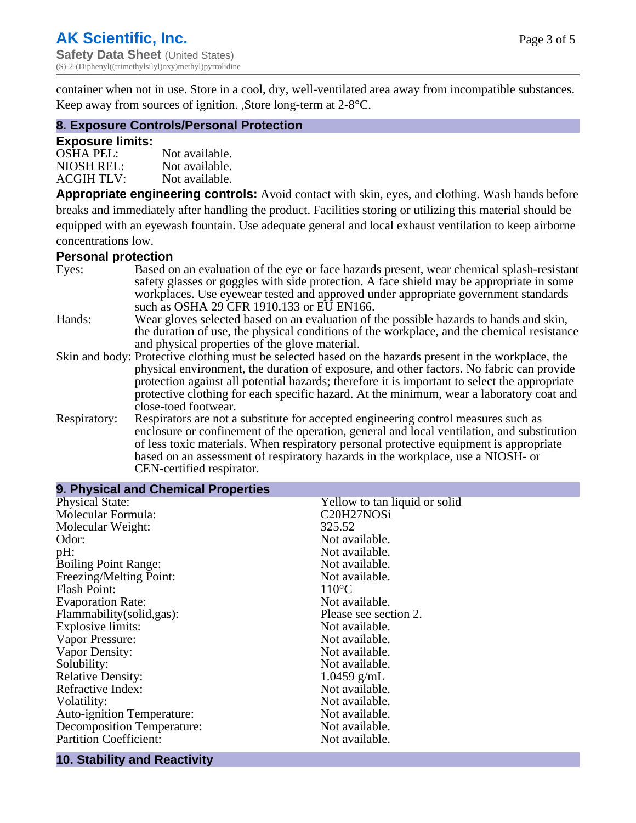container when not in use. Store in a cool, dry, well-ventilated area away from incompatible substances. Keep away from sources of ignition. ,Store long-term at 2-8°C.

#### **8. Exposure Controls/Personal Protection**

#### **Exposure limits:**

| $OSHA$ PEL:       | Not available. |
|-------------------|----------------|
| NIOSH REL:        | Not available. |
| <b>ACGIH TLV:</b> | Not available. |

**Appropriate engineering controls:** Avoid contact with skin, eyes, and clothing. Wash hands before breaks and immediately after handling the product. Facilities storing or utilizing this material should be equipped with an eyewash fountain. Use adequate general and local exhaust ventilation to keep airborne concentrations low.

#### **Personal protection**

| Eyes:        | Based on an evaluation of the eye or face hazards present, wear chemical splash-resistant<br>safety glasses or goggles with side protection. A face shield may be appropriate in some |
|--------------|---------------------------------------------------------------------------------------------------------------------------------------------------------------------------------------|
|              | workplaces. Use eyewear tested and approved under appropriate government standards<br>such as OSHA 29 CFR 1910.133 or EU EN166.                                                       |
| Hands:       | Wear gloves selected based on an evaluation of the possible hazards to hands and skin,                                                                                                |
|              | the duration of use, the physical conditions of the workplace, and the chemical resistance                                                                                            |
|              | and physical properties of the glove material.                                                                                                                                        |
|              | Skin and body: Protective clothing must be selected based on the hazards present in the workplace, the                                                                                |
|              | physical environment, the duration of exposure, and other factors. No fabric can provide                                                                                              |
|              | protection against all potential hazards; therefore it is important to select the appropriate                                                                                         |
|              | protective clothing for each specific hazard. At the minimum, wear a laboratory coat and                                                                                              |
|              | close-toed footwear.                                                                                                                                                                  |
| Respiratory: | Respirators are not a substitute for accepted engineering control measures such as<br>enclosure or confinement of the operation, general and local ventilation, and substitution      |
|              | of less toxic materials. When respiratory personal protective equipment is appropriate                                                                                                |
|              | based on an assessment of respiratory hazards in the workplace, use a NIOSH- or                                                                                                       |
|              | CEN-certified respirator.                                                                                                                                                             |

| 9. Physical and Chemical Properties |                               |
|-------------------------------------|-------------------------------|
| <b>Physical State:</b>              | Yellow to tan liquid or solid |
| Molecular Formula:                  | C20H27NOSi                    |
| Molecular Weight:                   | 325.52                        |
| Odor:                               | Not available.                |
| pH:                                 | Not available.                |
| <b>Boiling Point Range:</b>         | Not available.                |
| Freezing/Melting Point:             | Not available.                |
| <b>Flash Point:</b>                 | $110^{\circ}$ C               |
| <b>Evaporation Rate:</b>            | Not available.                |
| Flammability(solid,gas):            | Please see section 2.         |
| <b>Explosive limits:</b>            | Not available.                |
| Vapor Pressure:                     | Not available.                |
| Vapor Density:                      | Not available.                |
| Solubility:                         | Not available.                |
| <b>Relative Density:</b>            | $1.0459$ g/mL                 |
| Refractive Index:                   | Not available.                |
| Volatility:                         | Not available.                |
| <b>Auto-ignition Temperature:</b>   | Not available.                |
| <b>Decomposition Temperature:</b>   | Not available.                |
| <b>Partition Coefficient:</b>       | Not available.                |

#### **10. Stability and Reactivity**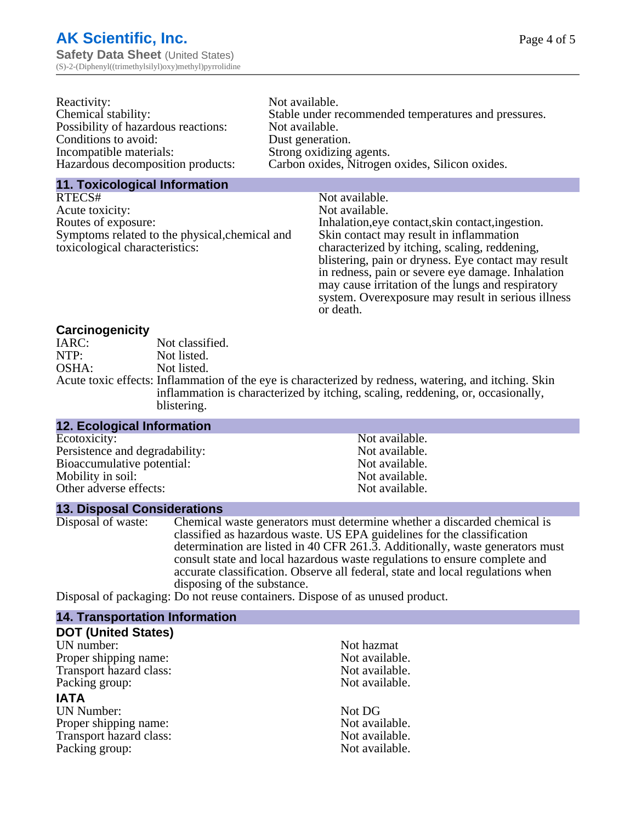| Reactivity:                         | Not available.                                       |
|-------------------------------------|------------------------------------------------------|
| Chemical stability:                 | Stable under recommended temperatures and pressures. |
| Possibility of hazardous reactions: | Not available.                                       |
| Conditions to avoid:                | Dust generation.                                     |
| Incompatible materials:             | Strong oxidizing agents.                             |
| Hazardous decomposition products:   | Carbon oxides, Nitrogen oxides, Silicon oxides.      |

#### **11. Toxicological Information**

| RTECS#                                         | Not available.                                      |
|------------------------------------------------|-----------------------------------------------------|
| Acute toxicity:                                | Not available.                                      |
| Routes of exposure:                            | Inhalation, eye contact, skin contact, ingestion.   |
| Symptoms related to the physical, chemical and | Skin contact may result in inflammation             |
| toxicological characteristics:                 | characterized by itching, scaling, reddening,       |
|                                                | blistering, pain or dryness. Eye contact may result |
|                                                | in redness, pain or severe eye damage. Inhalation   |
|                                                | may cause irritation of the lungs and respiratory   |
|                                                | system. Overexposure may result in serious illness  |

or death.

#### **Carcinogenicity**

| IARC: | Not classified.                                                                                       |
|-------|-------------------------------------------------------------------------------------------------------|
| NTP:  | Not listed.                                                                                           |
| OSHA: | Not listed.                                                                                           |
|       | Acute toxic effects: Inflammation of the eye is characterized by redness, watering, and itching. Skin |
|       | inflammation is characterized by itching, scaling, reddening, or, occasionally,                       |
|       | blistering.                                                                                           |

| 12. Ecological Information     |                |
|--------------------------------|----------------|
| Ecotoxicity:                   | Not available. |
| Persistence and degradability: | Not available. |
| Bioaccumulative potential:     | Not available. |
| Mobility in soil:              | Not available. |
| Other adverse effects:         | Not available. |

#### **13. Disposal Considerations**

Disposal of waste: Chemical waste generators must determine whether a discarded chemical is classified as hazardous waste. US EPA guidelines for the classification determination are listed in 40 CFR 261.3. Additionally, waste generators must consult state and local hazardous waste regulations to ensure complete and accurate classification. Observe all federal, state and local regulations when disposing of the substance.

Disposal of packaging: Do not reuse containers. Dispose of as unused product.

| <b>14. Transportation Information</b> |                |
|---------------------------------------|----------------|
| <b>DOT (United States)</b>            |                |
| UN number:                            | Not hazmat     |
| Proper shipping name:                 | Not available. |
| Transport hazard class:               | Not available. |
| Packing group:                        | Not available. |
| <b>IATA</b>                           |                |
| <b>UN Number:</b>                     | Not DG         |
| Proper shipping name:                 | Not available. |
| Transport hazard class:               | Not available. |
| Packing group:                        | Not available. |